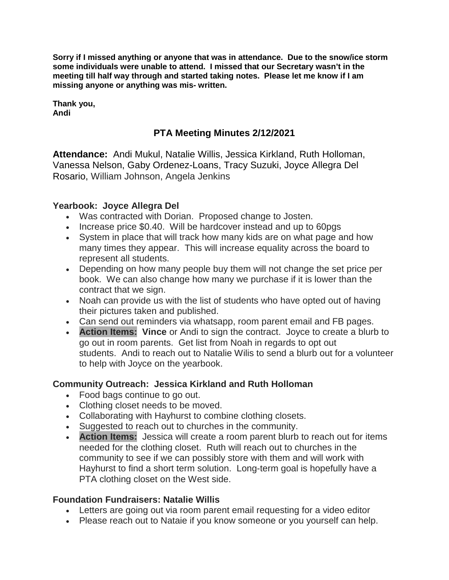**Sorry if I missed anything or anyone that was in attendance. Due to the snow/ice storm some individuals were unable to attend. I missed that our Secretary wasn't in the meeting till half way through and started taking notes. Please let me know if I am missing anyone or anything was mis- written.**

**Thank you, Andi**

# **PTA Meeting Minutes 2/12/2021**

**Attendance:** Andi Mukul, Natalie Willis, Jessica Kirkland, Ruth Holloman, Vanessa Nelson, Gaby Ordenez-Loans, Tracy Suzuki, Joyce Allegra Del Rosario, William Johnson, Angela Jenkins

#### **Yearbook: Joyce Allegra Del**

- Was contracted with Dorian. Proposed change to Josten.
- Increase price \$0.40. Will be hardcover instead and up to 60pgs
- System in place that will track how many kids are on what page and how many times they appear. This will increase equality across the board to represent all students.
- Depending on how many people buy them will not change the set price per book. We can also change how many we purchase if it is lower than the contract that we sign.
- Noah can provide us with the list of students who have opted out of having their pictures taken and published.
- Can send out reminders via whatsapp, room parent email and FB pages.
- **Action Items: Vince** or Andi to sign the contract. Joyce to create a blurb to go out in room parents. Get list from Noah in regards to opt out students. Andi to reach out to Natalie Wilis to send a blurb out for a volunteer to help with Joyce on the yearbook.

#### **Community Outreach: Jessica Kirkland and Ruth Holloman**

- Food bags continue to go out.
- Clothing closet needs to be moved.
- Collaborating with Hayhurst to combine clothing closets.
- Suggested to reach out to churches in the community.
- **Action Items:** Jessica will create a room parent blurb to reach out for items needed for the clothing closet. Ruth will reach out to churches in the community to see if we can possibly store with them and will work with Hayhurst to find a short term solution. Long-term goal is hopefully have a PTA clothing closet on the West side.

#### **Foundation Fundraisers: Natalie Willis**

- Letters are going out via room parent email requesting for a video editor
- Please reach out to Nataie if you know someone or you yourself can help.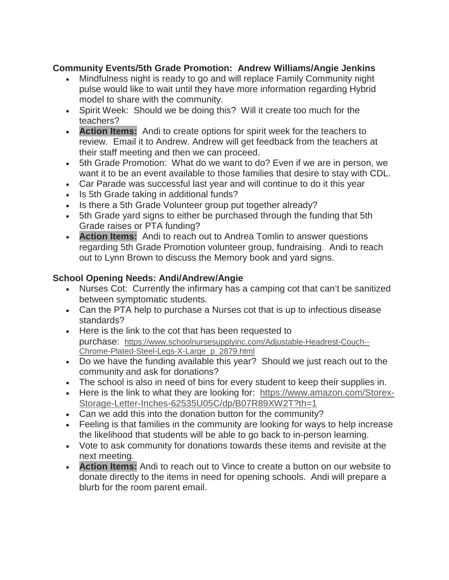## **Community Events/5th Grade Promotion: Andrew Williams/Angie Jenkins**

- Mindfulness night is ready to go and will replace Family Community night pulse would like to wait until they have more information regarding Hybrid model to share with the community.
- Spirit Week: Should we be doing this? Will it create too much for the teachers?
- **Action Items:** Andi to create options for spirit week for the teachers to review. Email it to Andrew. Andrew will get feedback from the teachers at their staff meeting and then we can proceed.
- 5th Grade Promotion: What do we want to do? Even if we are in person, we want it to be an event available to those families that desire to stay with CDL.
- Car Parade was successful last year and will continue to do it this year
- Is 5th Grade taking in additional funds?
- Is there a 5th Grade Volunteer group put together already?
- 5th Grade yard signs to either be purchased through the funding that 5th Grade raises or PTA funding?
- **Action Items:** Andi to reach out to Andrea Tomlin to answer questions regarding 5th Grade Promotion volunteer group, fundraising. Andi to reach out to Lynn Brown to discuss the Memory book and yard signs.

## **School Opening Needs: Andi/Andrew/Angie**

- Nurses Cot: Currently the infirmary has a camping cot that can't be sanitized between symptomatic students.
- Can the PTA help to purchase a Nurses cot that is up to infectious disease standards?
- Here is the link to the cot that has been requested to purchase: https://www.schoolnursesupplyinc.com/Adjustable-Headrest-Couch-- Chrome-Plated-Steel-Legs-X-Large\_p\_2879.html
- Do we have the funding available this year? Should we just reach out to the community and ask for donations?
- The school is also in need of bins for every student to keep their supplies in.
- Here is the link to what they are looking for: https://www.amazon.com/Storex-Storage-Letter-Inches-62535U05C/dp/B07R89XW2T?th=1
- Can we add this into the donation button for the community?
- Feeling is that families in the community are looking for ways to help increase the likelihood that students will be able to go back to in-person learning.
- Vote to ask community for donations towards these items and revisite at the next meeting.
- **Action Items:** Andi to reach out to Vince to create a button on our website to donate directly to the items in need for opening schools. Andi will prepare a blurb for the room parent email.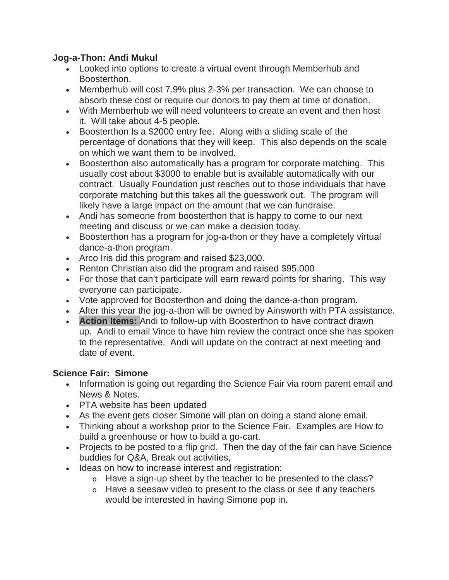## **Jog-a-Thon: Andi Mukul**

- Looked into options to create a virtual event through Memberhub and Boosterthon.
- Memberhub will cost 7.9% plus 2-3% per transaction. We can choose to absorb these cost or require our donors to pay them at time of donation.
- With Memberhub we will need volunteers to create an event and then host it. Will take about 4-5 people.
- Boosterthon Is a \$2000 entry fee. Along with a sliding scale of the percentage of donations that they will keep. This also depends on the scale on which we want them to be involved.
- Boosterthon also automatically has a program for corporate matching. This usually cost about \$3000 to enable but is available automatically with our contract. Usually Foundation just reaches out to those individuals that have corporate matching but this takes all the guesswork out. The program will likely have a large impact on the amount that we can fundraise.
- Andi has someone from boosterthon that is happy to come to our next meeting and discuss or we can make a decision today.
- Boosterthon has a program for jog-a-thon or they have a completely virtual dance-a-thon program.
- Arco Iris did this program and raised \$23,000.
- Renton Christian also did the program and raised \$95,000
- For those that can't participate will earn reward points for sharing. This way everyone can participate.
- Vote approved for Boosterthon and doing the dance-a-thon program.
- After this year the jog-a-thon will be owned by Ainsworth with PTA assistance.
- **Action Items:** Andi to follow-up with Boosterthon to have contract drawn up. Andi to email Vince to have him review the contract once she has spoken to the representative. Andi will update on the contract at next meeting and date of event.

## **Science Fair: Simone**

- Information is going out regarding the Science Fair via room parent email and News & Notes.
- PTA website has been updated
- As the event gets closer Simone will plan on doing a stand alone email.
- Thinking about a workshop prior to the Science Fair. Examples are How to build a greenhouse or how to build a go-cart.
- Projects to be posted to a flip grid. Then the day of the fair can have Science buddies for Q&A, Break out activities,
- Ideas on how to increase interest and registration:
	- o Have a sign-up sheet by the teacher to be presented to the class?
	- o Have a seesaw video to present to the class or see if any teachers would be interested in having Simone pop in.